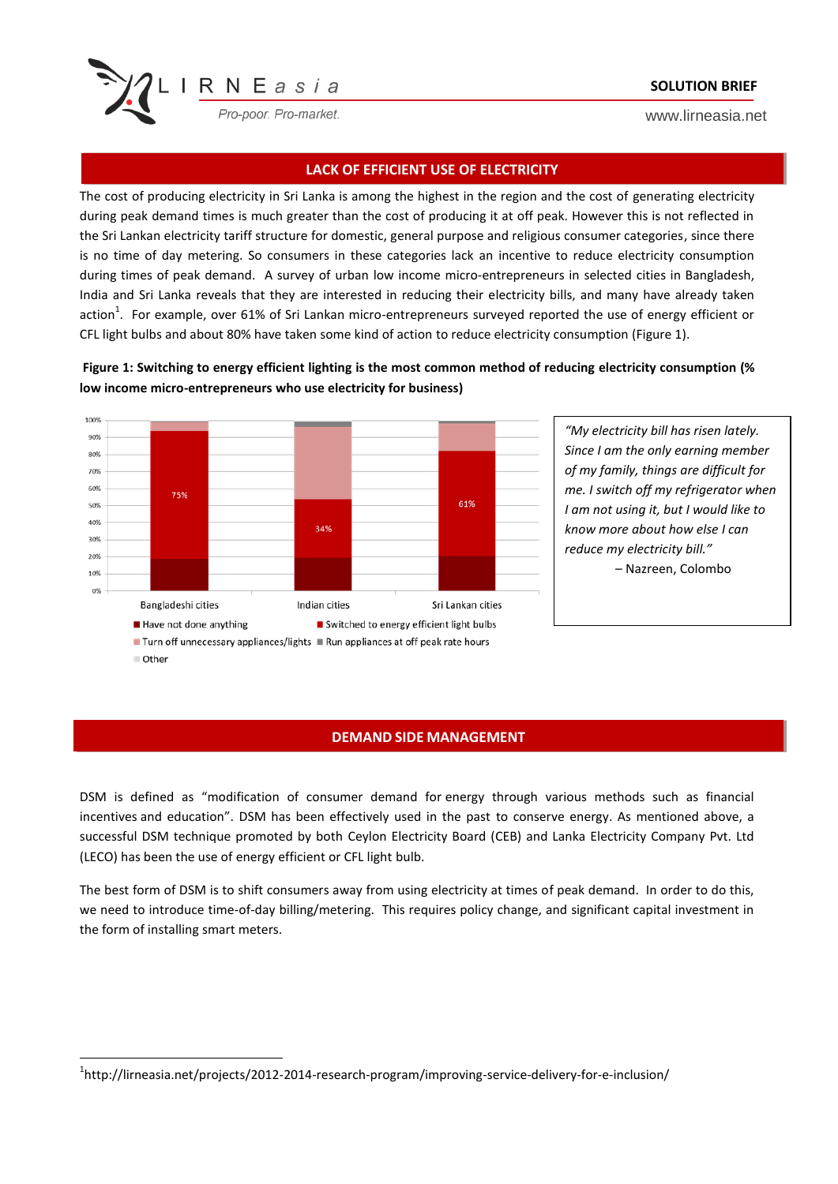

## **SOLUTION BRIEF**

www.lirneasia.net

## **LACK OF EFFICIENT USE OF ELECTRICITY**

The cost of producing electricity in Sri Lanka is among the highest in the region and the cost of generating electricity during peak demand times is much greater than the cost of producing it at off peak. However this is not reflected in the Sri Lankan electricity tariff structure for domestic, general purpose and religious consumer categories, since there is no time of day metering. So consumers in these categories lack an incentive to reduce electricity consumption during times of peak demand. A survey of urban low income micro-entrepreneurs in selected cities in Bangladesh, India and Sri Lanka reveals that they are interested in reducing their electricity bills, and many have already taken action<sup>1</sup>. For example, over 61% of Sri Lankan micro-entrepreneurs surveyed reported the use of energy efficient or CFL light bulbs and about 80% have taken some kind of action to reduce electricity consumption (Figure 1).

**Figure 1: Switching to energy efficient lighting is the most common method of reducing electricity consumption (% low income micro-entrepreneurs who use electricity for business)**



*"My electricity bill has risen lately. Since I am the only earning member of my family, things are difficult for me. I switch off my refrigerator when I am not using it, but I would like to know more about how else I can reduce my electricity bill."* 

– Nazreen, Colombo

### **DEMAND SIDE MANAGEMENT**

DSM is defined as "modification of consumer demand for energy through various methods such as financial incentives and education". DSM has been effectively used in the past to conserve energy. As mentioned above, a successful DSM technique promoted by both Ceylon Electricity Board (CEB) and Lanka Electricity Company Pvt. Ltd (LECO) has been the use of energy efficient or CFL light bulb.

The best form of DSM is to shift consumers away from using electricity at times of peak demand. In order to do this, we need to introduce time-of-day billing/metering. This requires policy change, and significant capital investment in the form of installing smart meters.

**.** 

<sup>&</sup>lt;sup>1</sup>http://lirneasia.net/projects/2012-2014-research-program/improving-service-delivery-for-e-inclusion/